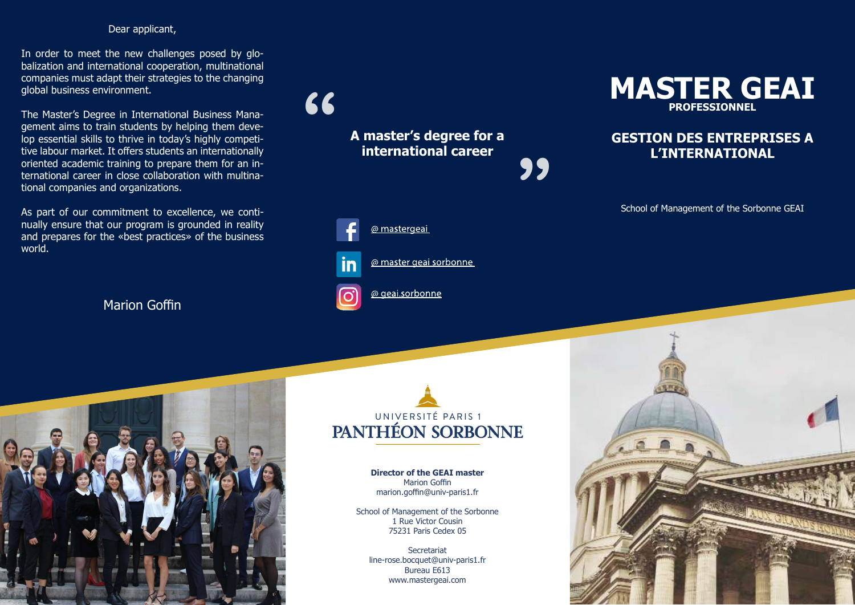#### Dear applicant,

In order to meet the new challenges posed by globalization and international cooperation, multinational companies must adapt their strategies to the changing global business environment.

The Master's Degree in International Business Management aims to train students by helping them develop essential skills to thrive in today's highly competitive labour market. It offers students an internationally oriented academic training to prepare them for an international career in close collaboration with multinational companies and organizations.

As part of our commitment to excellence, we continually ensure that our program is grounded in reality and prepares for the «best practices» of the business world.

Marion Goffin



A master's degree for a international career

**99** 



@ master geai sorbonne





Director of the GEAI master **Marion Goffin** marion.goffin@univ-paris1.fr

School of Management of the Sorbonne 1 Rue Victor Cousin 75231 Paris Cedex 05

**Secretariat** line-rose.bocquet@univ-paris1.fr Bureau E613 www.mastergeai.com



### GESTION DES ENTREPRISES A L'INTERNATIONAL

School of Management of the Sorbonne GEAI